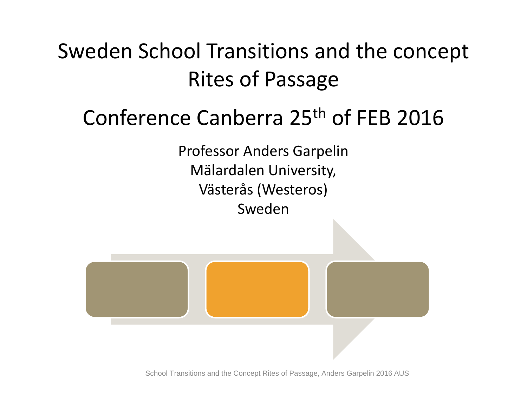Sweden School Transitions and the concept Rites of Passage

### Conference Canberra 25th of FEB 2016

Professor Anders Garpelin Mälardalen University, Västerås (Westeros) Sweden



School Transitions and the Concept Rites of Passage, Anders Garpelin 2016 AUS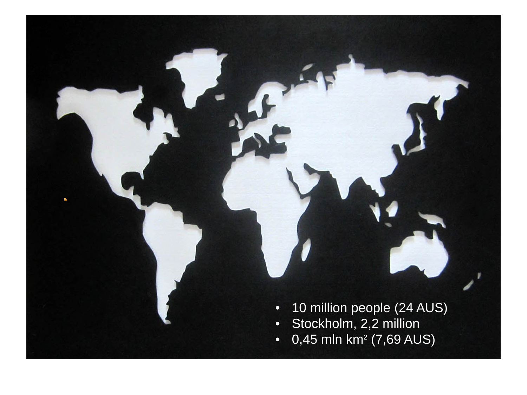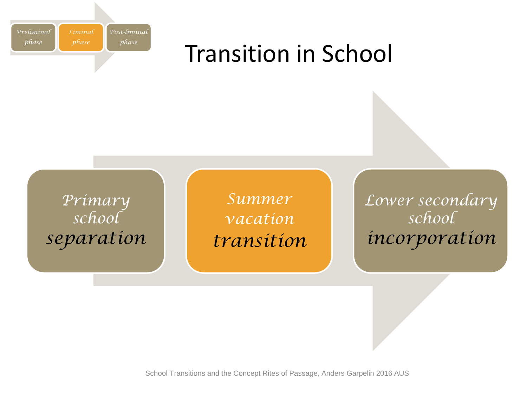

### Transition in School



*Summer vacation transition* *Lower secondary school incorporation*

School Transitions and the Concept Rites of Passage, Anders Garpelin 2016 AUS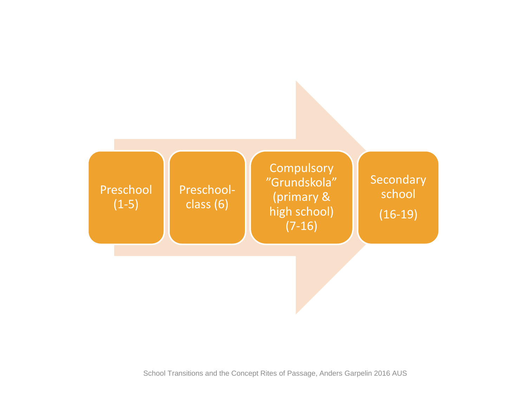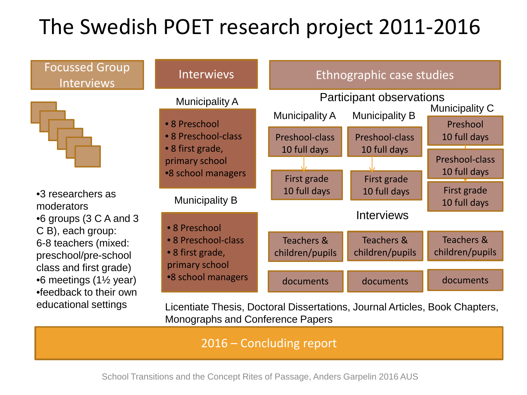## The Swedish POET research project 2011-2016

#### Focussed Group Interviews



•3 researchers as moderators •6 groups (3 C A and 3 C B), each group: 6-8 teachers (mixed: preschool/pre-school class and first grade) •6 meetings (1½ year) •feedback to their own educational settings



Licentiate Thesis, Doctoral Dissertations, Journal Articles, Book Chapters, Monographs and Conference Papers

2016 – Concluding report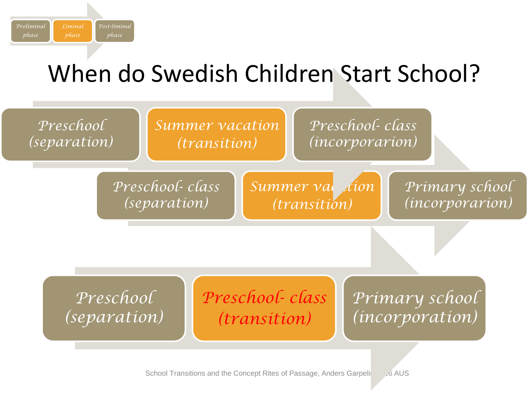

# When do Swedish Children Start School?